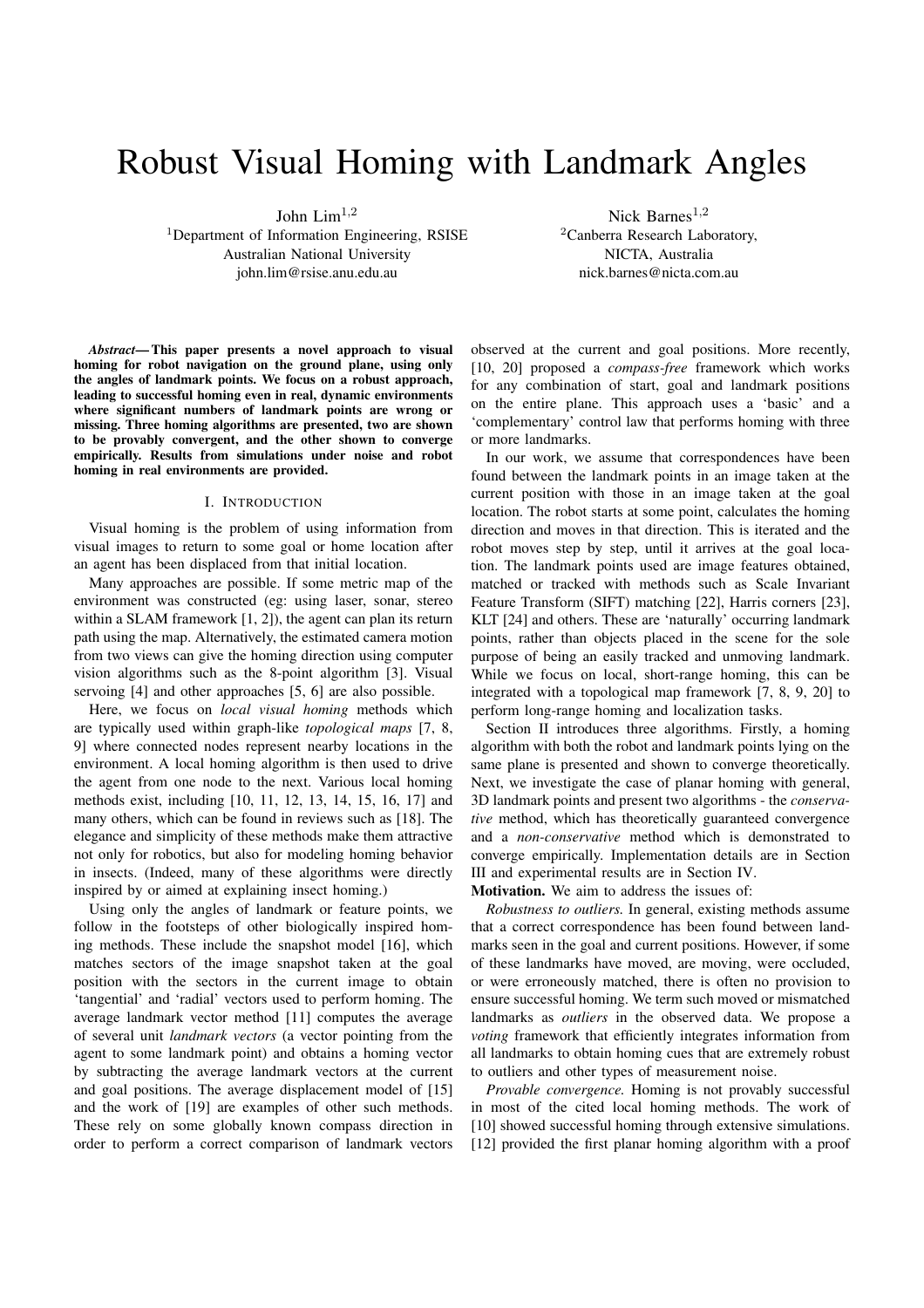# Robust Visual Homing with Landmark Angles

John  $Lim<sup>1,2</sup>$ <sup>1</sup>Department of Information Engineering, RSISE Australian National University john.lim@rsise.anu.edu.au

Nick Barnes<sup>1,2</sup>  ${}^{2}$ Canberra Research Laboratory, NICTA, Australia nick.barnes@nicta.com.au

*Abstract***— This paper presents a novel approach to visual homing for robot navigation on the ground plane, using only the angles of landmark points. We focus on a robust approach, leading to successful homing even in real, dynamic environments where significant numbers of landmark points are wrong or missing. Three homing algorithms are presented, two are shown to be provably convergent, and the other shown to converge empirically. Results from simulations under noise and robot homing in real environments are provided.**

#### I. INTRODUCTION

Visual homing is the problem of using information from visual images to return to some goal or home location after an agent has been displaced from that initial location.

Many approaches are possible. If some metric map of the environment was constructed (eg: using laser, sonar, stereo within a SLAM framework [1, 2]), the agent can plan its return path using the map. Alternatively, the estimated camera motion from two views can give the homing direction using computer vision algorithms such as the 8-point algorithm [3]. Visual servoing [4] and other approaches [5, 6] are also possible.

Here, we focus on *local visual homing* methods which are typically used within graph-like *topological maps* [7, 8, 9] where connected nodes represent nearby locations in the environment. A local homing algorithm is then used to drive the agent from one node to the next. Various local homing methods exist, including [10, 11, 12, 13, 14, 15, 16, 17] and many others, which can be found in reviews such as [18]. The elegance and simplicity of these methods make them attractive not only for robotics, but also for modeling homing behavior in insects. (Indeed, many of these algorithms were directly inspired by or aimed at explaining insect homing.)

Using only the angles of landmark or feature points, we follow in the footsteps of other biologically inspired homing methods. These include the snapshot model [16], which matches sectors of the image snapshot taken at the goal position with the sectors in the current image to obtain 'tangential' and 'radial' vectors used to perform homing. The average landmark vector method [11] computes the average of several unit *landmark vectors* (a vector pointing from the agent to some landmark point) and obtains a homing vector by subtracting the average landmark vectors at the current and goal positions. The average displacement model of [15] and the work of [19] are examples of other such methods. These rely on some globally known compass direction in order to perform a correct comparison of landmark vectors

observed at the current and goal positions. More recently, [10, 20] proposed a *compass-free* framework which works for any combination of start, goal and landmark positions on the entire plane. This approach uses a 'basic' and a 'complementary' control law that performs homing with three or more landmarks.

In our work, we assume that correspondences have been found between the landmark points in an image taken at the current position with those in an image taken at the goal location. The robot starts at some point, calculates the homing direction and moves in that direction. This is iterated and the robot moves step by step, until it arrives at the goal location. The landmark points used are image features obtained, matched or tracked with methods such as Scale Invariant Feature Transform (SIFT) matching [22], Harris corners [23], KLT [24] and others. These are 'naturally' occurring landmark points, rather than objects placed in the scene for the sole purpose of being an easily tracked and unmoving landmark. While we focus on local, short-range homing, this can be integrated with a topological map framework [7, 8, 9, 20] to perform long-range homing and localization tasks.

Section II introduces three algorithms. Firstly, a homing algorithm with both the robot and landmark points lying on the same plane is presented and shown to converge theoretically. Next, we investigate the case of planar homing with general, 3D landmark points and present two algorithms - the *conservative* method, which has theoretically guaranteed convergence and a *non-conservative* method which is demonstrated to converge empirically. Implementation details are in Section III and experimental results are in Section IV.

**Motivation.** We aim to address the issues of:

*Robustness to outliers.* In general, existing methods assume that a correct correspondence has been found between landmarks seen in the goal and current positions. However, if some of these landmarks have moved, are moving, were occluded, or were erroneously matched, there is often no provision to ensure successful homing. We term such moved or mismatched landmarks as *outliers* in the observed data. We propose a *voting* framework that efficiently integrates information from all landmarks to obtain homing cues that are extremely robust to outliers and other types of measurement noise.

*Provable convergence.* Homing is not provably successful in most of the cited local homing methods. The work of [10] showed successful homing through extensive simulations. [12] provided the first planar homing algorithm with a proof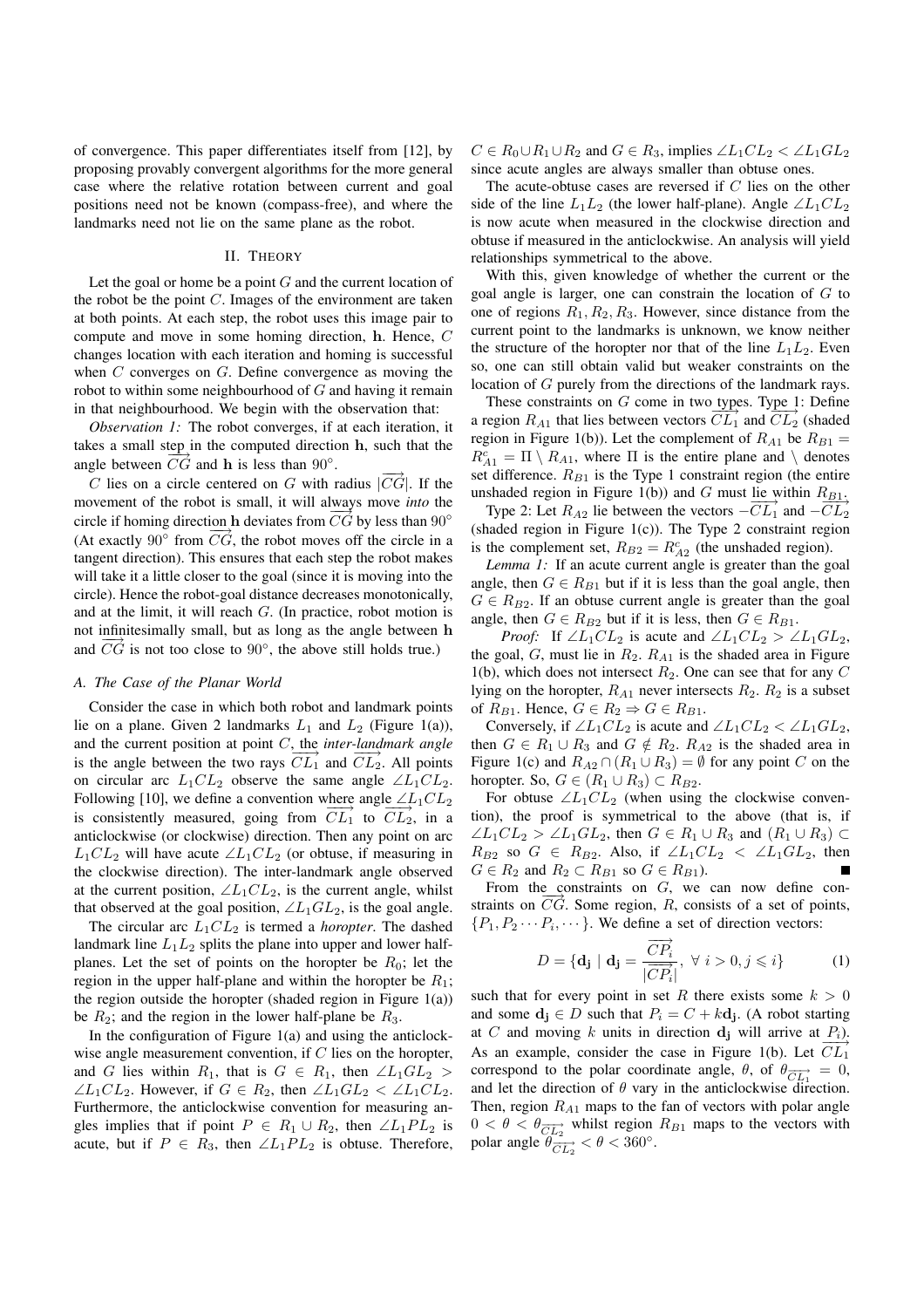of convergence. This paper differentiates itself from [12], by proposing provably convergent algorithms for the more general case where the relative rotation between current and goal positions need not be known (compass-free), and where the landmarks need not lie on the same plane as the robot.

#### II. THEORY

Let the goal or home be a point  $G$  and the current location of the robot be the point  $C$ . Images of the environment are taken at both points. At each step, the robot uses this image pair to compute and move in some homing direction, h. Hence, C changes location with each iteration and homing is successful when  $C$  converges on  $G$ . Define convergence as moving the robot to within some neighbourhood of G and having it remain in that neighbourhood. We begin with the observation that:

*Observation 1:* The robot converges, if at each iteration, it takes a small step in the computed direction h, such that the angle between  $\overline{CG}$  and h is less than  $90^\circ$ .

C lies on a circle centered on G with radius  $|\overrightarrow{CG}|$ . If the movement of the robot is small, it will always move *into* the circle if homing direction h deviates from  $C\acute{G}$  by less than  $90°$ (At exactly  $90^\circ$  from  $\overrightarrow{CG}$ , the robot moves off the circle in a tangent direction). This ensures that each step the robot makes will take it a little closer to the goal (since it is moving into the circle). Hence the robot-goal distance decreases monotonically, and at the limit, it will reach G. (In practice, robot motion is not infinitesimally small, but as long as the angle between h and  $\overrightarrow{CG}$  is not too close to  $90^\circ$ , the above still holds true.)

### *A. The Case of the Planar World*

Consider the case in which both robot and landmark points lie on a plane. Given 2 landmarks  $L_1$  and  $L_2$  (Figure 1(a)), and the current position at point C, the *inter-landmark angle* is the angle between the two rays  $CL_1$  and  $CL_2$ . All points on circular arc  $L_1CL_2$  observe the same angle ∠ $L_1CL_2$ . Following [10], we define a convention where angle  $\angle L_1CL_2$ is consistently measured, going from  $\overline{CL}_1$  to  $\overline{CL}_2$ , in a anticlockwise (or clockwise) direction. Then any point on arc  $L_1CL_2$  will have acute  $\angle L_1CL_2$  (or obtuse, if measuring in the clockwise direction). The inter-landmark angle observed at the current position,  $\angle L_1CL_2$ , is the current angle, whilst that observed at the goal position,  $\angle L_1GL_2$ , is the goal angle.

The circular arc  $L_1CL_2$  is termed a *horopter*. The dashed landmark line  $L_1L_2$  splits the plane into upper and lower halfplanes. Let the set of points on the horopter be  $R_0$ ; let the region in the upper half-plane and within the horopter be  $R_1$ ; the region outside the horopter (shaded region in Figure 1(a)) be  $R_2$ ; and the region in the lower half-plane be  $R_3$ .

In the configuration of Figure  $1(a)$  and using the anticlockwise angle measurement convention, if  $C$  lies on the horopter, and G lies within  $R_1$ , that is  $G \in R_1$ , then  $\angle L_1GL_2$  $\angle L_1CL_2$ . However, if  $G \in R_2$ , then  $\angle L_1GL_2 < \angle L_1CL_2$ . Furthermore, the anticlockwise convention for measuring angles implies that if point  $P \in R_1 \cup R_2$ , then  $\angle L_1PL_2$  is acute, but if  $P \in R_3$ , then  $\angle L_1PL_2$  is obtuse. Therefore,

 $C \in R_0 \cup R_1 \cup R_2$  and  $G \in R_3$ , implies  $\angle L_1CL_2 < \angle L_1GL_2$ since acute angles are always smaller than obtuse ones.

The acute-obtuse cases are reversed if  $C$  lies on the other side of the line  $L_1L_2$  (the lower half-plane). Angle  $\angle L_1CL_2$ is now acute when measured in the clockwise direction and obtuse if measured in the anticlockwise. An analysis will yield relationships symmetrical to the above.

With this, given knowledge of whether the current or the goal angle is larger, one can constrain the location of  $G$  to one of regions  $R_1, R_2, R_3$ . However, since distance from the current point to the landmarks is unknown, we know neither the structure of the horopter nor that of the line  $L_1L_2$ . Even so, one can still obtain valid but weaker constraints on the location of G purely from the directions of the landmark rays.

These constraints on  $G$  come in two types. Type 1: Define a region  $R_{A1}$  that lies between vectors  $CL_1$  and  $CL_2$  (shaded region in Figure 1(b)). Let the complement of  $R_{A1}$  be  $R_{B1} =$  $R_{A1}^c = \Pi \setminus R_{A1}$ , where  $\Pi$  is the entire plane and  $\setminus$  denotes set difference.  $R_{B1}$  is the Type 1 constraint region (the entire unshaded region in Figure 1(b)) and G must lie within  $R_{B1}$ .

Type 2: Let  $R_{A2}$  lie between the vectors  $-\overline{CL_1}$  and  $-\overline{CL_2}$ (shaded region in Figure 1(c)). The Type 2 constraint region is the complement set,  $R_{B2} = R_{A2}^c$  (the unshaded region).

*Lemma 1:* If an acute current angle is greater than the goal angle, then  $G \in R_{B1}$  but if it is less than the goal angle, then  $G \in R_{B2}$ . If an obtuse current angle is greater than the goal angle, then  $G \in R_{B2}$  but if it is less, then  $G \in R_{B1}$ .

*Proof:* If  $\angle L_1CL_2$  is acute and  $\angle L_1CL_2 > \angle L_1GL_2$ , the goal,  $G$ , must lie in  $R_2$ .  $R_{A1}$  is the shaded area in Figure 1(b), which does not intersect  $R_2$ . One can see that for any C lying on the horopter,  $R_{A1}$  never intersects  $R_2$ .  $R_2$  is a subset of  $R_{B1}$ . Hence,  $G \in R_2 \Rightarrow G \in R_{B1}$ .

Conversely, if  $\angle L_1CL_2$  is acute and  $\angle L_1CL_2 < \angle L_1GL_2$ , then  $G \in R_1 \cup R_3$  and  $G \notin R_2$ .  $R_{A2}$  is the shaded area in Figure 1(c) and  $R_{A2} \cap (R_1 \cup R_3) = \emptyset$  for any point C on the horopter. So,  $G \in (R_1 \cup R_3) \subset R_{B2}$ .

For obtuse  $\angle L_1CL_2$  (when using the clockwise convention), the proof is symmetrical to the above (that is, if  $\angle L_1CL_2 > \angle L_1GL_2$ , then  $G \in R_1 \cup R_3$  and  $(R_1 \cup R_3) \subset$  $R_{B2}$  so  $G \in R_{B2}$ . Also, if  $\angle L_1CL_2 < \angle L_1GL_2$ , then  $G \in R_2$  and  $R_2 \subset R_{B1}$  so  $G \in R_{B1}$ ).

From the constraints on G, we can now define constraints on  $\overline{CG}$ . Some region, R, consists of a set of points,  $\{P_1, P_2 \cdots P_i, \dots\}$ . We define a set of direction vectors:

$$
D = \{ \mathbf{d_j} \mid \mathbf{d_j} = \frac{\overrightarrow{CP_i}}{|\overrightarrow{CP_i}|}, \ \forall \ i > 0, j \leq i \}
$$
 (1)

such that for every point in set R there exists some  $k > 0$ and some  $\mathbf{d_j} \in D$  such that  $P_i = C + k \mathbf{d_j}$ . (A robot starting at C and moving k units in direction  $\mathbf{d_i}$  will arrive at  $P_i$ ). As an example, consider the case in Figure 1(b). Let  $CL_1$ <sup>'</sup> correspond to the polar coordinate angle,  $\theta$ , of  $\theta_{\overrightarrow{CL_1}} = 0$ , and let the direction of  $\theta$  vary in the anticlockwise direction. Then, region  $R_{A1}$  maps to the fan of vectors with polar angle  $0 < \theta < \theta_{\overrightarrow{CL_2}}$  whilst region  $R_{B1}$  maps to the vectors with polar angle  $\theta_{\overrightarrow{CL_2}}^{\overrightarrow{L_2}} < \theta < 360^\circ$ .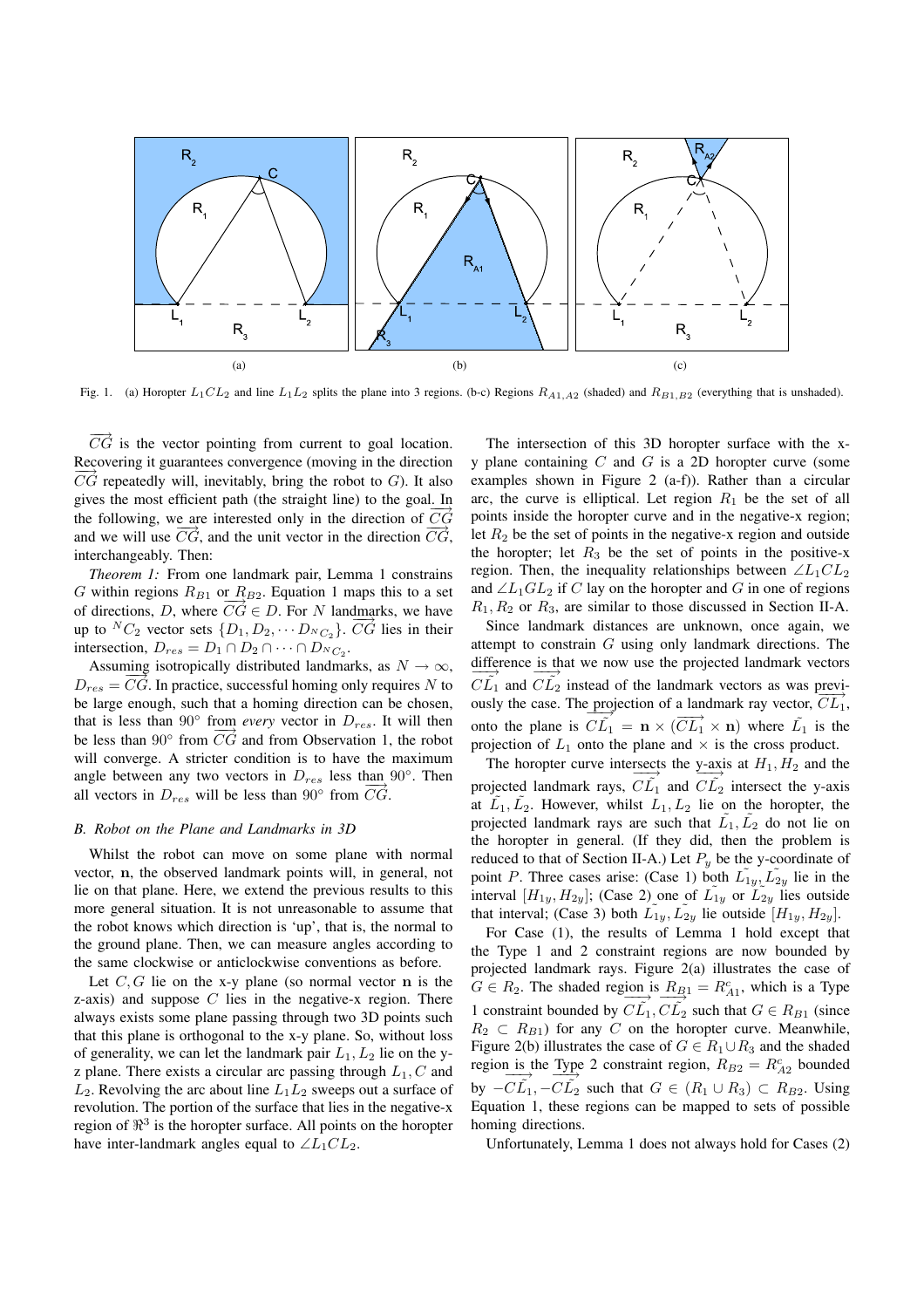

Fig. 1. (a) Horopter  $L_1CL_2$  and line  $L_1L_2$  splits the plane into 3 regions. (b-c) Regions  $R_{A1, A2}$  (shaded) and  $R_{B1, B2}$  (everything that is unshaded).

 $\overrightarrow{CG}$  is the vector pointing from current to goal location. Recovering it guarantees convergence (moving in the direction  $\overline{CG}$  repeatedly will, inevitably, bring the robot to G). It also gives the most efficient path (the straight line) to the goal. In the following, we are interested only in the direction of  $C\acute{G}$ and we will use  $\overrightarrow{CG}$ , and the unit vector in the direction  $\overrightarrow{CG}$ , interchangeably. Then:

*Theorem 1:* From one landmark pair, Lemma 1 constrains G within regions  $R_{B1}$  or  $R_{B2}$ . Equation 1 maps this to a set of directions, D, where  $\overrightarrow{CG} \in D$ . For N landmarks, we have up to  ${}^N C_2$  vector sets  $\{D_1, D_2, \cdots D_{N_C_2}\}$ .  $\overrightarrow{CG}$  lies in their intersection,  $D_{res} = D_1 \cap D_2 \cap \cdots \cap D_{N_{C_2}}$ .

Assuming isotropically distributed landmarks, as  $N \to \infty$ ,  $D_{res} = \overrightarrow{CG}$ . In practice, successful homing only requires N to be large enough, such that a homing direction can be chosen, that is less than  $90^\circ$  from *every* vector in  $D_{res}$ . It will then be less than 90 $\degree$  from  $\overrightarrow{CG}$  and from Observation 1, the robot will converge. A stricter condition is to have the maximum angle between any two vectors in  $D_{res}$  less than  $90^\circ$ . Then all vectors in  $D_{res}$  will be less than 90 $\degree$  from  $\overrightarrow{CG}$ .

# *B. Robot on the Plane and Landmarks in 3D*

Whilst the robot can move on some plane with normal vector, n, the observed landmark points will, in general, not lie on that plane. Here, we extend the previous results to this more general situation. It is not unreasonable to assume that the robot knows which direction is 'up', that is, the normal to the ground plane. Then, we can measure angles according to the same clockwise or anticlockwise conventions as before.

Let  $C, G$  lie on the x-y plane (so normal vector  $n$  is the z-axis) and suppose  $C$  lies in the negative-x region. There always exists some plane passing through two 3D points such that this plane is orthogonal to the x-y plane. So, without loss of generality, we can let the landmark pair  $L_1, L_2$  lie on the yz plane. There exists a circular arc passing through  $L_1$ ,  $C$  and  $L_2$ . Revolving the arc about line  $L_1L_2$  sweeps out a surface of revolution. The portion of the surface that lies in the negative-x region of  $\mathbb{R}^3$  is the horopter surface. All points on the horopter have inter-landmark angles equal to  $\angle L_1CL_2$ .

The intersection of this 3D horopter surface with the xy plane containing  $C$  and  $G$  is a 2D horopter curve (some examples shown in Figure 2 (a-f)). Rather than a circular arc, the curve is elliptical. Let region  $R_1$  be the set of all points inside the horopter curve and in the negative-x region; let  $R_2$  be the set of points in the negative-x region and outside the horopter; let  $R_3$  be the set of points in the positive-x region. Then, the inequality relationships between  $\angle L_1CL_2$ and  $\angle L_1GL_2$  if C lay on the horopter and G in one of regions  $R_1, R_2$  or  $R_3$ , are similar to those discussed in Section II-A.

Since landmark distances are unknown, once again, we attempt to constrain G using only landmark directions. The difference is that we now use the projected landmark vectors  $CL_1$  and  $CL_2$  instead of the landmark vectors as was previously the case. The projection of a landmark ray vector,  $\overrightarrow{CL_1}$ , onto the plane is  $\overrightarrow{CL_1} = \mathbf{n} \times (\overrightarrow{CL_1} \times \mathbf{n})$  where  $\overrightarrow{L_1}$  is the projection of  $L_1$  onto the plane and  $\times$  is the cross product.

The horopter curve intersects the y-axis at  $H_1, H_2$  and the projected landmark rays,  $C\tilde{L_1}$  and  $C\tilde{L_2}$  intersect the y-axis at  $\tilde{L_1}, \tilde{L_2}$ . However, whilst  $L_1, L_2$  lie on the horopter, the projected landmark rays are such that  $\tilde{L_1}, \tilde{L_2}$  do not lie on the horopter in general. (If they did, then the problem is reduced to that of Section II-A.) Let  $P_y$  be the y-coordinate of point P. Three cases arise: (Case 1) both  $\tilde{L_{1y}}, \tilde{L_{2y}}$  lie in the interval  $[H_{1y}, H_{2y}]$ ; (Case 2) one of  $\tilde{L_{1y}}$  or  $\tilde{L_{2y}}$  lies outside that interval; (Case 3) both  $\tilde{L_1y}, \tilde{L_2y}$  lie outside  $[H_{1y}, H_{2y}]$ .

For Case (1), the results of Lemma 1 hold except that the Type 1 and 2 constraint regions are now bounded by projected landmark rays. Figure 2(a) illustrates the case of  $G \in R_2$ . The shaded region is  $R_{B_1} = R_{A_1}^c$ , which is a Type 1 constraint bounded by  $C\tilde{L_1}$ ,  $C\tilde{L_2}$  such that  $G \in R_{B1}$  (since  $R_2 \subset R_{B1}$ ) for any C on the horopter curve. Meanwhile, Figure 2(b) illustrates the case of  $G \in R_1 \cup R_3$  and the shaded region is the Type 2 constraint region,  $R_{B2} = R_{A2}^c$  bounded by  $-C\tilde{L_1}$ ,  $-C\tilde{L_2}$  such that  $G \in (R_1 \cup R_3) \subset R_{B2}$ . Using Equation 1, these regions can be mapped to sets of possible homing directions.

Unfortunately, Lemma 1 does not always hold for Cases (2)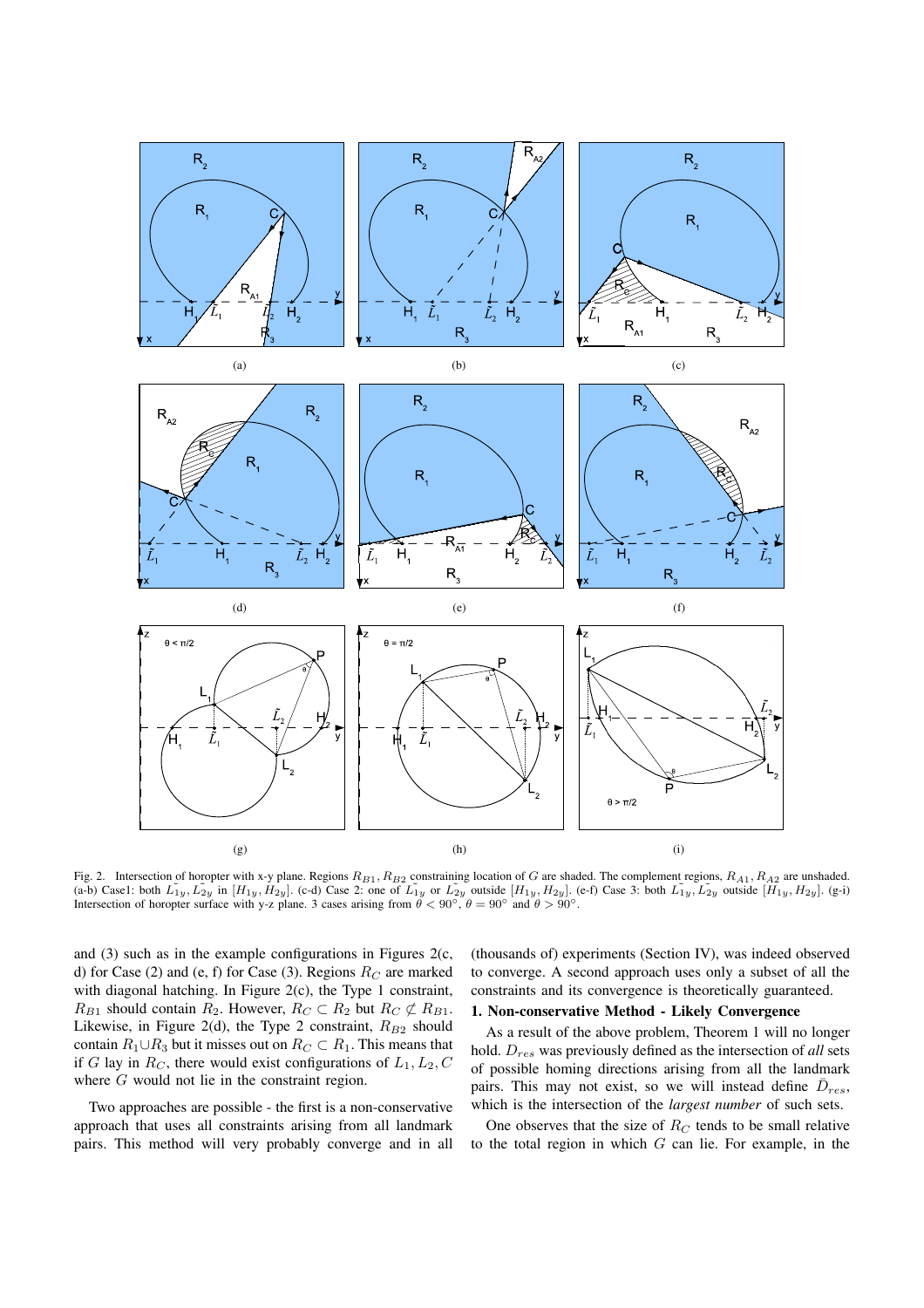

Fig. 2. Intersection of horopter with x-y plane. Regions  $R_{B1}$ ,  $R_{B2}$  constraining location of G are shaded. The complement regions,  $R_{A1}$ ,  $R_{A2}$  are unshaded. (a-b) Case1: both  $\tilde{L}_{1y}$ ,  $\tilde{L}_{2y}$  in  $[H_{1y}, H_{2y}]$ . (c-d) Case 2: one of  $\tilde{L}_{1y}$  or  $\tilde{L}_{2y}$  outside  $[H_{1y}, H_{2y}]$ . (e-f) Case 3: both  $\tilde{L}_{1y}$ ,  $\tilde{L}_{2y}$  outside  $[H_{1y}, H_{2y}]$ . (g-i) Intersection of hor

and (3) such as in the example configurations in Figures 2(c, d) for Case (2) and (e, f) for Case (3). Regions  $R_C$  are marked with diagonal hatching. In Figure 2(c), the Type 1 constraint,  $R_{B1}$  should contain  $R_2$ . However,  $R_C \subset R_2$  but  $R_C \not\subset R_{B1}$ . Likewise, in Figure 2(d), the Type 2 constraint,  $R_{B2}$  should contain  $R_1 \cup R_3$  but it misses out on  $R_C \subset R_1$ . This means that if G lay in  $R_C$ , there would exist configurations of  $L_1, L_2, C$ where G would not lie in the constraint region.

Two approaches are possible - the first is a non-conservative approach that uses all constraints arising from all landmark pairs. This method will very probably converge and in all

(thousands of) experiments (Section IV), was indeed observed to converge. A second approach uses only a subset of all the constraints and its convergence is theoretically guaranteed.

# **1. Non-conservative Method - Likely Convergence**

As a result of the above problem, Theorem 1 will no longer hold.  $D_{res}$  was previously defined as the intersection of *all* sets of possible homing directions arising from all the landmark pairs. This may not exist, so we will instead define  $\bar{D}_{res}$ , which is the intersection of the *largest number* of such sets.

One observes that the size of  $R_C$  tends to be small relative to the total region in which  $G$  can lie. For example, in the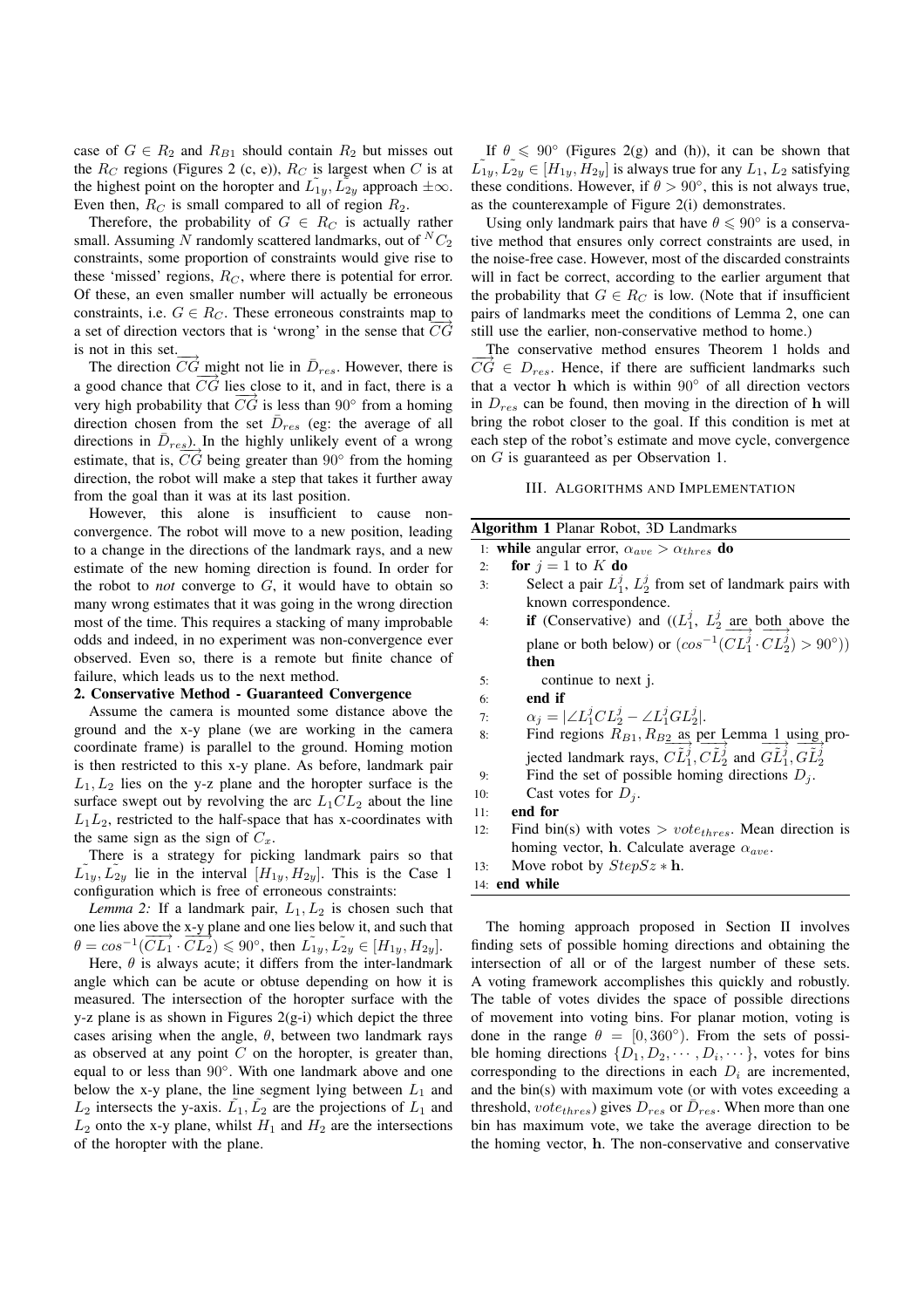case of  $G \in R_2$  and  $R_{B1}$  should contain  $R_2$  but misses out the  $R_C$  regions (Figures 2 (c, e)),  $R_C$  is largest when C is at the highest point on the horopter and  $\tilde{L_{1y}}, \tilde{L_{2y}}$  approach  $\pm \infty$ . Even then,  $R_C$  is small compared to all of region  $R_2$ .

Therefore, the probability of  $G \in R_C$  is actually rather small. Assuming N randomly scattered landmarks, out of  ${}^NC_2$ constraints, some proportion of constraints would give rise to these 'missed' regions,  $R_C$ , where there is potential for error. Of these, an even smaller number will actually be erroneous constraints, i.e.  $G \in R_C$ . These erroneous constraints map to a set of direction vectors that is 'wrong' in the sense that  $\overline{CG}$ is not in this set.

The direction  $\overrightarrow{CG}$  might not lie in  $\overrightarrow{D}_{res}$ . However, there is a good chance that  $\overrightarrow{CG}$  lies close to it, and in fact, there is a very high probability that  $\overrightarrow{CG}$  is less than 90° from a homing direction chosen from the set  $\bar{D}_{res}$  (eg: the average of all directions in  $\bar{D}_{res}$ ). In the highly unlikely event of a wrong estimate, that is,  $\overrightarrow{CG}$  being greater than 90 $\degree$  from the homing direction, the robot will make a step that takes it further away from the goal than it was at its last position.

However, this alone is insufficient to cause nonconvergence. The robot will move to a new position, leading to a change in the directions of the landmark rays, and a new estimate of the new homing direction is found. In order for the robot to *not* converge to  $G$ , it would have to obtain so many wrong estimates that it was going in the wrong direction most of the time. This requires a stacking of many improbable odds and indeed, in no experiment was non-convergence ever observed. Even so, there is a remote but finite chance of failure, which leads us to the next method.

# **2. Conservative Method - Guaranteed Convergence**

Assume the camera is mounted some distance above the ground and the x-y plane (we are working in the camera coordinate frame) is parallel to the ground. Homing motion is then restricted to this x-y plane. As before, landmark pair  $L_1, L_2$  lies on the y-z plane and the horopter surface is the surface swept out by revolving the arc  $L_1CL_2$  about the line  $L_1L_2$ , restricted to the half-space that has x-coordinates with the same sign as the sign of  $C_x$ .

There is a strategy for picking landmark pairs so that  $\tilde{L}_{1y}, \tilde{L}_{2y}$  lie in the interval  $[H_{1y}, H_{2y}]$ . This is the Case 1 configuration which is free of erroneous constraints:

*Lemma 2:* If a landmark pair,  $L_1, L_2$  is chosen such that one lies above the x-y plane and one lies below it, and such that  $\theta = \cos^{-1}(\overrightarrow{CL_1} \cdot \overrightarrow{CL_2}) \leq 90^\circ$ , then  $\overrightarrow{L_1}_y, \overrightarrow{L_2}_y \in [H_1y, H_2y]$ .

Here,  $\theta$  is always acute; it differs from the inter-landmark angle which can be acute or obtuse depending on how it is measured. The intersection of the horopter surface with the y-z plane is as shown in Figures  $2(g-i)$  which depict the three cases arising when the angle,  $\theta$ , between two landmark rays as observed at any point  $C$  on the horopter, is greater than, equal to or less than 90◦ . With one landmark above and one below the x-y plane, the line segment lying between  $L_1$  and  $L_2$  intersects the y-axis.  $\tilde{L_1}, \tilde{L_2}$  are the projections of  $L_1$  and  $L_2$  onto the x-y plane, whilst  $H_1$  and  $H_2$  are the intersections of the horopter with the plane.

If  $\theta \le 90^\circ$  (Figures 2(g) and (h)), it can be shown that  $\tilde{L_{1y}}, \tilde{L_{2y}} \in [H_{1y}, H_{2y}]$  is always true for any  $L_1, L_2$  satisfying these conditions. However, if  $\theta > 90^\circ$ , this is not always true, as the counterexample of Figure 2(i) demonstrates.

Using only landmark pairs that have  $\theta \le 90^\circ$  is a conservative method that ensures only correct constraints are used, in the noise-free case. However, most of the discarded constraints will in fact be correct, according to the earlier argument that the probability that  $G \in R_C$  is low. (Note that if insufficient pairs of landmarks meet the conditions of Lemma 2, one can still use the earlier, non-conservative method to home.)

The conservative method ensures Theorem 1 holds and  $\overrightarrow{CG} \in D_{res}$ . Hence, if there are sufficient landmarks such that a vector h which is within 90◦ of all direction vectors in  $D_{res}$  can be found, then moving in the direction of h will bring the robot closer to the goal. If this condition is met at each step of the robot's estimate and move cycle, convergence on G is guaranteed as per Observation 1.

### III. ALGORITHMS AND IMPLEMENTATION

| <b>Algorithm 1 Planar Robot, 3D Landmarks</b> |                                                                                                                                                            |
|-----------------------------------------------|------------------------------------------------------------------------------------------------------------------------------------------------------------|
|                                               | 1: while angular error, $\alpha_{ave} > \alpha_{thres}$ do                                                                                                 |
| 2:                                            | for $j = 1$ to K do                                                                                                                                        |
| 3:                                            | Select a pair $L_1^j$ , $L_2^j$ from set of landmark pairs with                                                                                            |
|                                               | known correspondence.                                                                                                                                      |
| 4:                                            | <b>if</b> (Conservative) and $((L_1^j, L_2^j \underline{\text{ are }} \underline{\text{ both }} \underline{\text{above }} \underline{\text{the}})$         |
|                                               | plane or both below) or $(cos^{-1}(CL_1^j \cdot CL_2^j) > 90^\circ)$                                                                                       |
|                                               | then                                                                                                                                                       |
| 5:                                            | continue to next j.                                                                                                                                        |
| 6:                                            | end if                                                                                                                                                     |
| 7:                                            | $\alpha_i =  \angle L_1^j CL_2^j - \angle L_1^j GL_2^j .$                                                                                                  |
| 8:                                            |                                                                                                                                                            |
|                                               | Find regions $R_{B1}$ , $R_{B2}$ as per Lemma 1 using projected landmark rays, $C\tilde{L}_1^j$ , $C\tilde{L}_2^j$ and $G\tilde{L}_1^j$ , $G\tilde{L}_2^j$ |
| 9:                                            | Find the set of possible homing directions $D_i$ .                                                                                                         |
| 10:                                           | Cast votes for $D_i$ .                                                                                                                                     |
| 11:                                           | end for                                                                                                                                                    |
| 12:                                           | Find bin(s) with votes $\gt$ vote <sub>thres</sub> . Mean direction is                                                                                     |
|                                               | homing vector, h. Calculate average $\alpha_{ave}$ .                                                                                                       |
| 13:                                           | Move robot by $StepSz * h$ .                                                                                                                               |
|                                               | 14: <b>end while</b>                                                                                                                                       |

The homing approach proposed in Section II involves finding sets of possible homing directions and obtaining the intersection of all or of the largest number of these sets. A voting framework accomplishes this quickly and robustly. The table of votes divides the space of possible directions of movement into voting bins. For planar motion, voting is done in the range  $\theta = [0, 360^\circ)$ . From the sets of possible homing directions  $\{D_1, D_2, \cdots, D_i, \cdots\}$ , votes for bins corresponding to the directions in each  $D_i$  are incremented, and the bin(s) with maximum vote (or with votes exceeding a threshold,  $vote_{thres}$ ) gives  $D_{res}$  or  $\overline{D}_{res}$ . When more than one bin has maximum vote, we take the average direction to be the homing vector, h. The non-conservative and conservative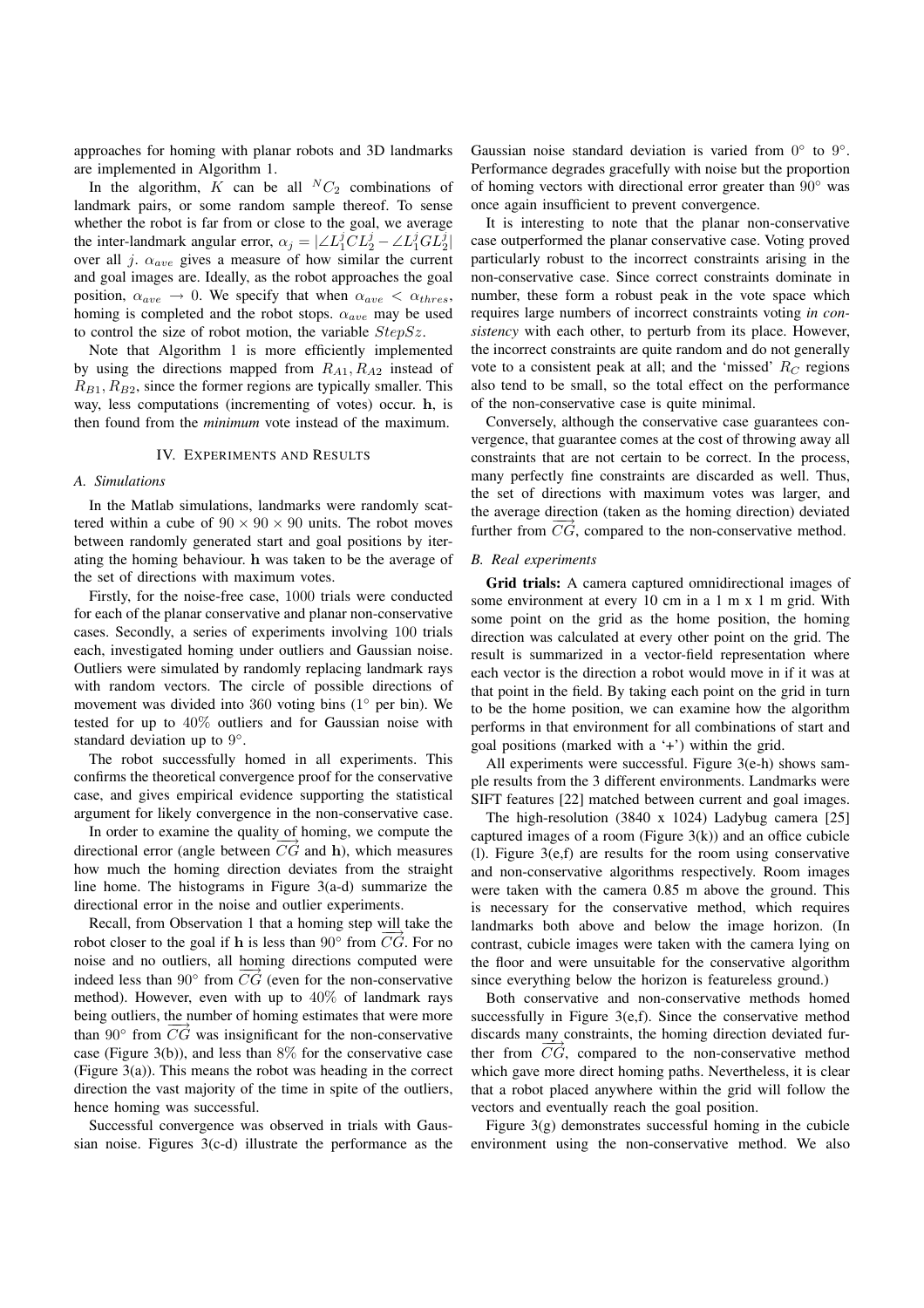approaches for homing with planar robots and 3D landmarks are implemented in Algorithm 1.

In the algorithm, K can be all  ${}^NC_2$  combinations of landmark pairs, or some random sample thereof. To sense whether the robot is far from or close to the goal, we average the inter-landmark angular error,  $\alpha_j = |\angle L_1^j \overline{C} L_2^j - \angle L_1^j \overline{G} L_2^j|$ over all j.  $\alpha_{ave}$  gives a measure of how similar the current and goal images are. Ideally, as the robot approaches the goal position,  $\alpha_{ave} \rightarrow 0$ . We specify that when  $\alpha_{ave} < \alpha_{thres}$ , homing is completed and the robot stops.  $\alpha_{ave}$  may be used to control the size of robot motion, the variable  $StepSz$ .

Note that Algorithm 1 is more efficiently implemented by using the directions mapped from  $R_{A1}$ ,  $R_{A2}$  instead of  $R_{B1}, R_{B2}$ , since the former regions are typically smaller. This way, less computations (incrementing of votes) occur. h, is then found from the *minimum* vote instead of the maximum.

### IV. EXPERIMENTS AND RESULTS

### *A. Simulations*

In the Matlab simulations, landmarks were randomly scattered within a cube of  $90 \times 90 \times 90$  units. The robot moves between randomly generated start and goal positions by iterating the homing behaviour. h was taken to be the average of the set of directions with maximum votes.

Firstly, for the noise-free case, 1000 trials were conducted for each of the planar conservative and planar non-conservative cases. Secondly, a series of experiments involving 100 trials each, investigated homing under outliers and Gaussian noise. Outliers were simulated by randomly replacing landmark rays with random vectors. The circle of possible directions of movement was divided into 360 voting bins (1<sup>°</sup> per bin). We tested for up to 40% outliers and for Gaussian noise with standard deviation up to 9°.

The robot successfully homed in all experiments. This confirms the theoretical convergence proof for the conservative case, and gives empirical evidence supporting the statistical argument for likely convergence in the non-conservative case.

In order to examine the quality of homing, we compute the directional error (angle between  $\overrightarrow{CG}$  and h), which measures how much the homing direction deviates from the straight line home. The histograms in Figure 3(a-d) summarize the directional error in the noise and outlier experiments.

Recall, from Observation 1 that a homing step will take the robot closer to the goal if h is less than  $90^\circ$  from  $\overrightarrow{CG}$ . For no noise and no outliers, all homing directions computed were indeed less than  $90^\circ$  from  $\overrightarrow{CG}$  (even for the non-conservative method). However, even with up to  $40\%$  of landmark rays being outliers, the number of homing estimates that were more than 90 $\degree$  from  $\overrightarrow{CG}$  was insignificant for the non-conservative case (Figure 3(b)), and less than  $8\%$  for the conservative case (Figure 3(a)). This means the robot was heading in the correct direction the vast majority of the time in spite of the outliers, hence homing was successful.

Successful convergence was observed in trials with Gaussian noise. Figures 3(c-d) illustrate the performance as the

Gaussian noise standard deviation is varied from  $0^{\circ}$  to  $9^{\circ}$ . Performance degrades gracefully with noise but the proportion of homing vectors with directional error greater than  $90°$  was once again insufficient to prevent convergence.

It is interesting to note that the planar non-conservative case outperformed the planar conservative case. Voting proved particularly robust to the incorrect constraints arising in the non-conservative case. Since correct constraints dominate in number, these form a robust peak in the vote space which requires large numbers of incorrect constraints voting *in consistency* with each other, to perturb from its place. However, the incorrect constraints are quite random and do not generally vote to a consistent peak at all; and the 'missed'  $R_C$  regions also tend to be small, so the total effect on the performance of the non-conservative case is quite minimal.

Conversely, although the conservative case guarantees convergence, that guarantee comes at the cost of throwing away all constraints that are not certain to be correct. In the process, many perfectly fine constraints are discarded as well. Thus, the set of directions with maximum votes was larger, and the average direction (taken as the homing direction) deviated further from  $CG$ , compared to the non-conservative method.

### *B. Real experiments*

**Grid trials:** A camera captured omnidirectional images of some environment at every 10 cm in a 1 m x 1 m grid. With some point on the grid as the home position, the homing direction was calculated at every other point on the grid. The result is summarized in a vector-field representation where each vector is the direction a robot would move in if it was at that point in the field. By taking each point on the grid in turn to be the home position, we can examine how the algorithm performs in that environment for all combinations of start and goal positions (marked with a '+') within the grid.

All experiments were successful. Figure 3(e-h) shows sample results from the 3 different environments. Landmarks were SIFT features [22] matched between current and goal images.

The high-resolution (3840 x 1024) Ladybug camera [25] captured images of a room (Figure  $3(k)$ ) and an office cubicle (l). Figure 3(e,f) are results for the room using conservative and non-conservative algorithms respectively. Room images were taken with the camera 0.85 m above the ground. This is necessary for the conservative method, which requires landmarks both above and below the image horizon. (In contrast, cubicle images were taken with the camera lying on the floor and were unsuitable for the conservative algorithm since everything below the horizon is featureless ground.)

Both conservative and non-conservative methods homed successfully in Figure 3(e,f). Since the conservative method discards many constraints, the homing direction deviated further from  $\overrightarrow{CG}$ , compared to the non-conservative method which gave more direct homing paths. Nevertheless, it is clear that a robot placed anywhere within the grid will follow the vectors and eventually reach the goal position.

Figure  $3(g)$  demonstrates successful homing in the cubicle environment using the non-conservative method. We also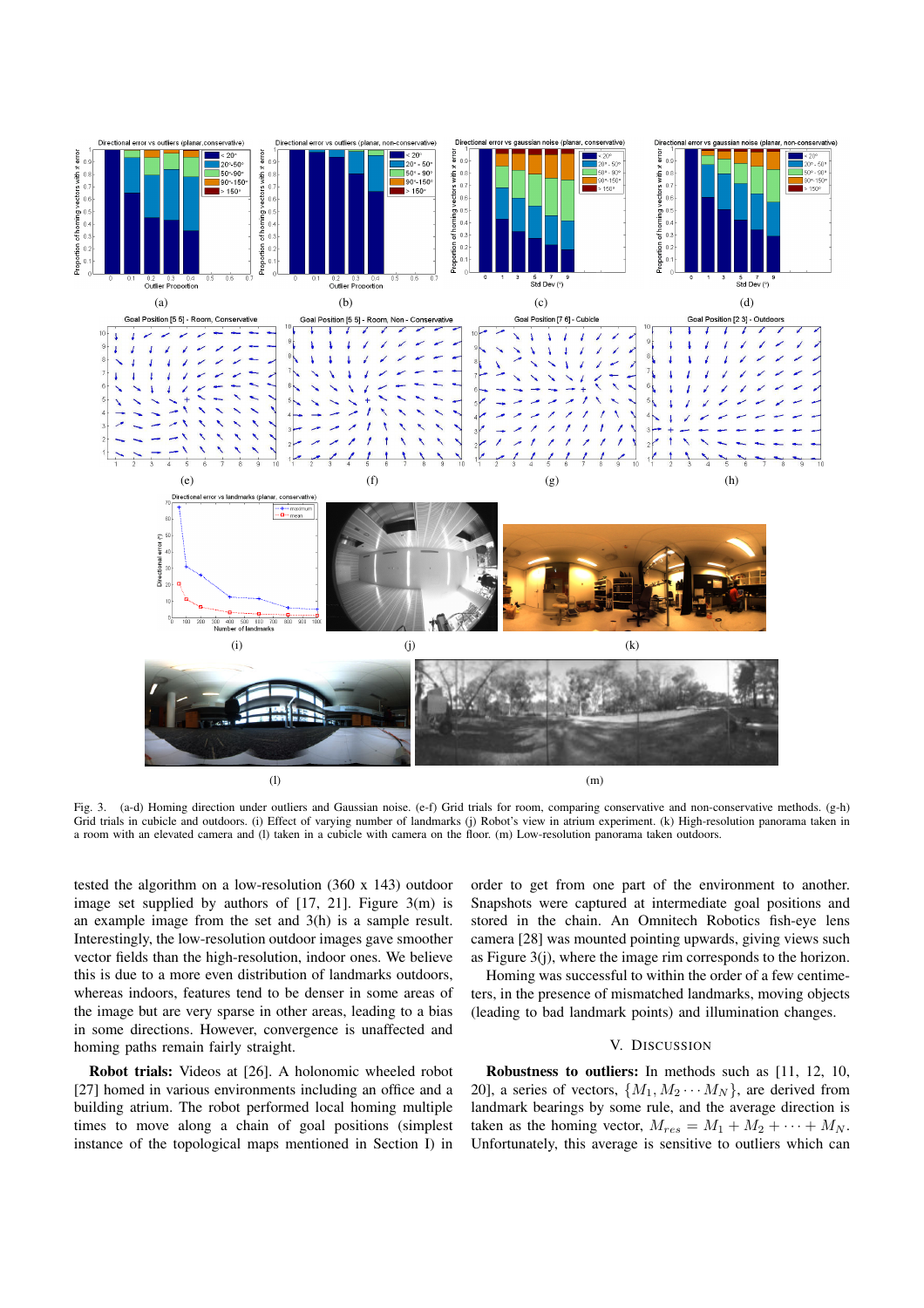

Fig. 3. (a-d) Homing direction under outliers and Gaussian noise. (e-f) Grid trials for room, comparing conservative and non-conservative methods. (g-h) Grid trials in cubicle and outdoors. (i) Effect of varying number of landmarks (j) Robot's view in atrium experiment. (k) High-resolution panorama taken in a room with an elevated camera and (l) taken in a cubicle with camera on the floor. (m) Low-resolution panorama taken outdoors.

tested the algorithm on a low-resolution (360 x 143) outdoor image set supplied by authors of  $[17, 21]$ . Figure 3(m) is an example image from the set and 3(h) is a sample result. Interestingly, the low-resolution outdoor images gave smoother vector fields than the high-resolution, indoor ones. We believe this is due to a more even distribution of landmarks outdoors, whereas indoors, features tend to be denser in some areas of the image but are very sparse in other areas, leading to a bias in some directions. However, convergence is unaffected and homing paths remain fairly straight.

**Robot trials:** Videos at [26]. A holonomic wheeled robot [27] homed in various environments including an office and a building atrium. The robot performed local homing multiple times to move along a chain of goal positions (simplest instance of the topological maps mentioned in Section I) in

order to get from one part of the environment to another. Snapshots were captured at intermediate goal positions and stored in the chain. An Omnitech Robotics fish-eye lens camera [28] was mounted pointing upwards, giving views such as Figure 3(j), where the image rim corresponds to the horizon.

Homing was successful to within the order of a few centimeters, in the presence of mismatched landmarks, moving objects (leading to bad landmark points) and illumination changes.

# V. DISCUSSION

**Robustness to outliers:** In methods such as [11, 12, 10, 20], a series of vectors,  $\{M_1, M_2 \cdots M_N\}$ , are derived from landmark bearings by some rule, and the average direction is taken as the homing vector,  $M_{res} = M_1 + M_2 + \cdots + M_N$ . Unfortunately, this average is sensitive to outliers which can